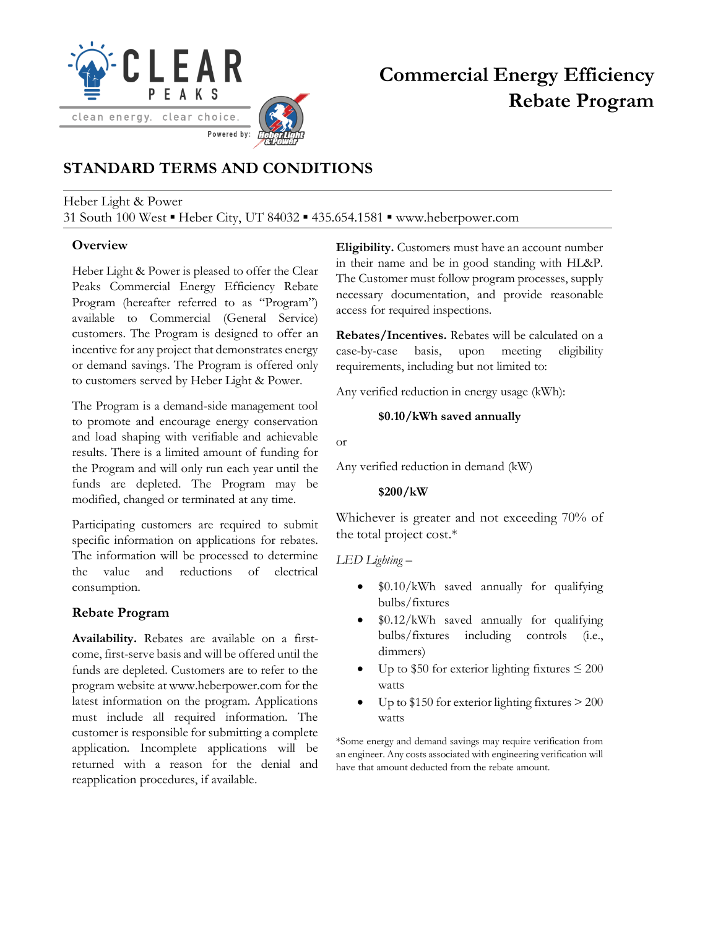

# **Commercial Energy Efficiency Rebate Program**

# **STANDARD TERMS AND CONDITIONS**

#### Heber Light & Power 31 South 100 West ▪ Heber City, UT 84032 ▪ 435.654.1581 ▪ www.heberpower.com

## **Overview**

Heber Light & Power is pleased to offer the Clear Peaks Commercial Energy Efficiency Rebate Program (hereafter referred to as "Program") available to Commercial (General Service) customers. The Program is designed to offer an incentive for any project that demonstrates energy or demand savings. The Program is offered only to customers served by Heber Light & Power.

The Program is a demand-side management tool to promote and encourage energy conservation and load shaping with verifiable and achievable results. There is a limited amount of funding for the Program and will only run each year until the funds are depleted. The Program may be modified, changed or terminated at any time.

Participating customers are required to submit specific information on applications for rebates. The information will be processed to determine the value and reductions of electrical consumption.

## **Rebate Program**

**Availability.** Rebates are available on a firstcome, first-serve basis and will be offered until the funds are depleted. Customers are to refer to the program website at www.heberpower.com for the latest information on the program. Applications must include all required information. The customer is responsible for submitting a complete application. Incomplete applications will be returned with a reason for the denial and reapplication procedures, if available.

**Eligibility.** Customers must have an account number in their name and be in good standing with HL&P. The Customer must follow program processes, supply necessary documentation, and provide reasonable access for required inspections.

**Rebates/Incentives.** Rebates will be calculated on a case-by-case basis, upon meeting eligibility requirements, including but not limited to:

Any verified reduction in energy usage (kWh):

#### **\$0.10/kWh saved annually**

or

Any verified reduction in demand (kW)

#### **\$200/kW**

Whichever is greater and not exceeding 70% of the total project cost.\*

*LED Lighting* –

- \$0.10/kWh saved annually for qualifying bulbs/fixtures
- \$0.12/kWh saved annually for qualifying bulbs/fixtures including controls (i.e., dimmers)
- Up to \$50 for exterior lighting fixtures  $\leq 200$ watts
- Up to  $$150$  for exterior lighting fixtures  $> 200$ watts

\*Some energy and demand savings may require verification from an engineer. Any costs associated with engineering verification will have that amount deducted from the rebate amount.